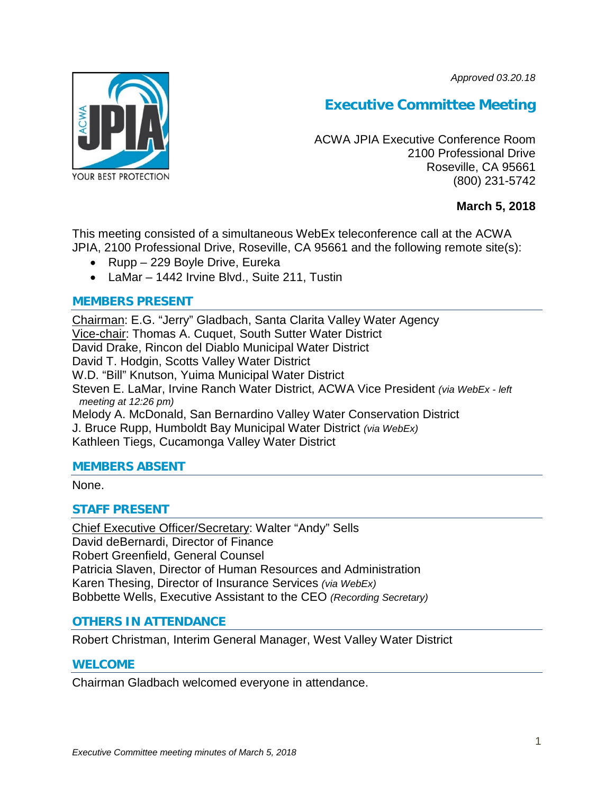*Approved 03.20.18*



# **Executive Committee Meeting**

ACWA JPIA Executive Conference Room 2100 Professional Drive Roseville, CA 95661 (800) 231-5742

# **March 5, 2018**

This meeting consisted of a simultaneous WebEx teleconference call at the ACWA JPIA, 2100 Professional Drive, Roseville, CA 95661 and the following remote site(s):

- Rupp 229 Boyle Drive, Eureka
- LaMar 1442 Irvine Blvd., Suite 211, Tustin

## **MEMBERS PRESENT**

Chairman: E.G. "Jerry" Gladbach, Santa Clarita Valley Water Agency Vice-chair: Thomas A. Cuquet, South Sutter Water District David Drake, Rincon del Diablo Municipal Water District David T. Hodgin, Scotts Valley Water District W.D. "Bill" Knutson, Yuima Municipal Water District Steven E. LaMar, Irvine Ranch Water District, ACWA Vice President *(via WebEx - left meeting at 12:26 pm)* Melody A. McDonald, San Bernardino Valley Water Conservation District J. Bruce Rupp, Humboldt Bay Municipal Water District *(via WebEx)* Kathleen Tiegs, Cucamonga Valley Water District

## **MEMBERS ABSENT**

None.

# **STAFF PRESENT**

Chief Executive Officer/Secretary: Walter "Andy" Sells David deBernardi, Director of Finance Robert Greenfield, General Counsel Patricia Slaven, Director of Human Resources and Administration Karen Thesing, Director of Insurance Services *(via WebEx)* Bobbette Wells, Executive Assistant to the CEO *(Recording Secretary)*

# **OTHERS IN ATTENDANCE**

Robert Christman, Interim General Manager, West Valley Water District

## **WELCOME**

Chairman Gladbach welcomed everyone in attendance.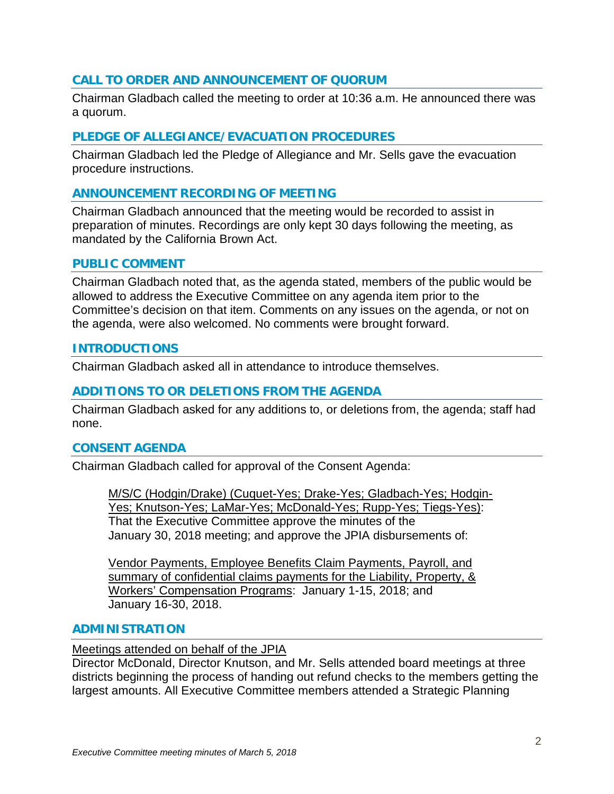## **CALL TO ORDER AND ANNOUNCEMENT OF QUORUM**

Chairman Gladbach called the meeting to order at 10:36 a.m. He announced there was a quorum.

#### **PLEDGE OF ALLEGIANCE/EVACUATION PROCEDURES**

Chairman Gladbach led the Pledge of Allegiance and Mr. Sells gave the evacuation procedure instructions.

#### **ANNOUNCEMENT RECORDING OF MEETING**

Chairman Gladbach announced that the meeting would be recorded to assist in preparation of minutes. Recordings are only kept 30 days following the meeting, as mandated by the California Brown Act.

#### **PUBLIC COMMENT**

Chairman Gladbach noted that, as the agenda stated, members of the public would be allowed to address the Executive Committee on any agenda item prior to the Committee's decision on that item. Comments on any issues on the agenda, or not on the agenda, were also welcomed. No comments were brought forward.

#### **INTRODUCTIONS**

Chairman Gladbach asked all in attendance to introduce themselves.

#### **ADDITIONS TO OR DELETIONS FROM THE AGENDA**

Chairman Gladbach asked for any additions to, or deletions from, the agenda; staff had none.

#### **CONSENT AGENDA**

Chairman Gladbach called for approval of the Consent Agenda:

M/S/C (Hodgin/Drake) (Cuquet-Yes; Drake-Yes; Gladbach-Yes; Hodgin-Yes; Knutson-Yes; LaMar-Yes; McDonald-Yes; Rupp-Yes; Tiegs-Yes): That the Executive Committee approve the minutes of the January 30, 2018 meeting; and approve the JPIA disbursements of:

Vendor Payments, Employee Benefits Claim Payments, Payroll, and summary of confidential claims payments for the Liability, Property, & Workers' Compensation Programs: January 1-15, 2018; and January 16-30, 2018.

#### **ADMINISTRATION**

#### Meetings attended on behalf of the JPIA

Director McDonald, Director Knutson, and Mr. Sells attended board meetings at three districts beginning the process of handing out refund checks to the members getting the largest amounts. All Executive Committee members attended a Strategic Planning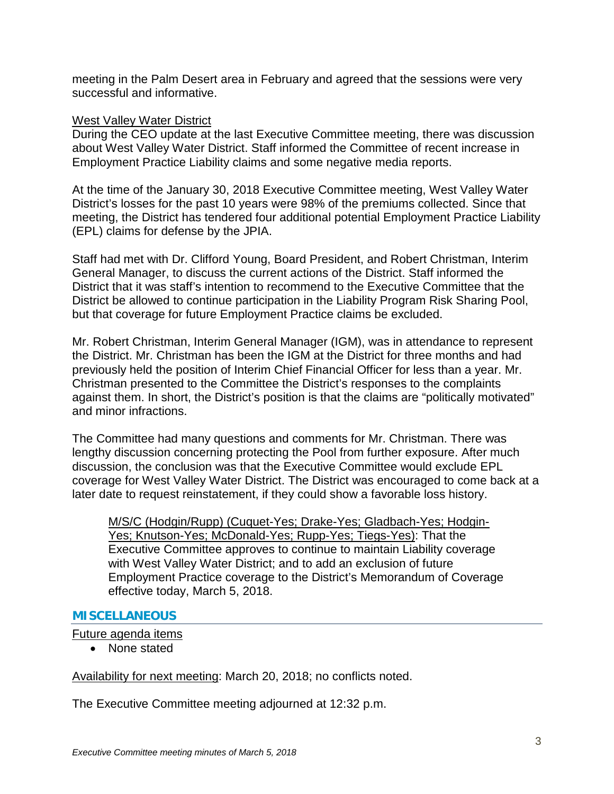meeting in the Palm Desert area in February and agreed that the sessions were very successful and informative.

#### West Valley Water District

During the CEO update at the last Executive Committee meeting, there was discussion about West Valley Water District. Staff informed the Committee of recent increase in Employment Practice Liability claims and some negative media reports.

At the time of the January 30, 2018 Executive Committee meeting, West Valley Water District's losses for the past 10 years were 98% of the premiums collected. Since that meeting, the District has tendered four additional potential Employment Practice Liability (EPL) claims for defense by the JPIA.

Staff had met with Dr. Clifford Young, Board President, and Robert Christman, Interim General Manager, to discuss the current actions of the District. Staff informed the District that it was staff's intention to recommend to the Executive Committee that the District be allowed to continue participation in the Liability Program Risk Sharing Pool, but that coverage for future Employment Practice claims be excluded.

Mr. Robert Christman, Interim General Manager (IGM), was in attendance to represent the District. Mr. Christman has been the IGM at the District for three months and had previously held the position of Interim Chief Financial Officer for less than a year. Mr. Christman presented to the Committee the District's responses to the complaints against them. In short, the District's position is that the claims are "politically motivated" and minor infractions.

The Committee had many questions and comments for Mr. Christman. There was lengthy discussion concerning protecting the Pool from further exposure. After much discussion, the conclusion was that the Executive Committee would exclude EPL coverage for West Valley Water District. The District was encouraged to come back at a later date to request reinstatement, if they could show a favorable loss history.

M/S/C (Hodgin/Rupp) (Cuquet-Yes; Drake-Yes; Gladbach-Yes; Hodgin-Yes; Knutson-Yes; McDonald-Yes; Rupp-Yes; Tiegs-Yes): That the Executive Committee approves to continue to maintain Liability coverage with West Valley Water District; and to add an exclusion of future Employment Practice coverage to the District's Memorandum of Coverage effective today, March 5, 2018.

## **MISCELLANEOUS**

Future agenda items

• None stated

Availability for next meeting: March 20, 2018; no conflicts noted.

The Executive Committee meeting adjourned at 12:32 p.m.